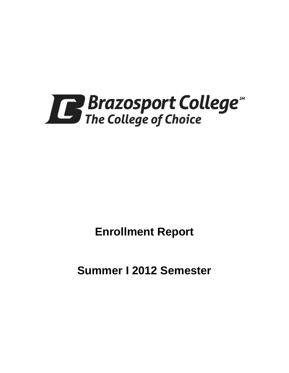

**Enrollment Report**

**Summer I 2012 Semester**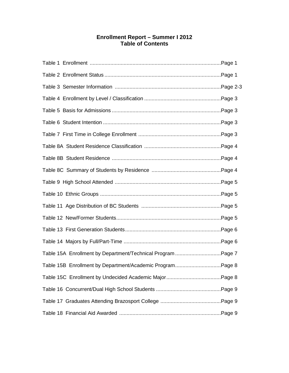# **Enrollment Report – Summer I 2012 Table of Contents**

| Table 15A Enrollment by Department/Technical Program Page 7 |  |
|-------------------------------------------------------------|--|
| Table 15B Enrollment by Department/Academic ProgramPage 8   |  |
|                                                             |  |
|                                                             |  |
|                                                             |  |
|                                                             |  |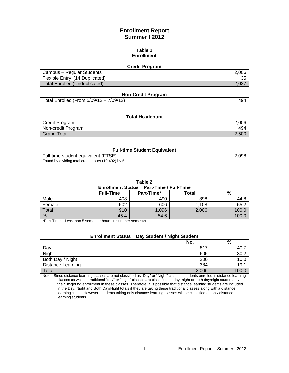# **Enrollment Report Summer I 2012**

#### **Table 1 Enrollment**

#### **Credit Program**

| Campus – Regular Students            | 2.006     |
|--------------------------------------|-----------|
| Flexible Entry (14 Duplicated)       | つに<br>ູບບ |
| <b>Total Enrolled (Unduplicated)</b> | 2.02.     |

#### **Non-Credit Program**

Total Enrolled (From 5/09/12 – 7/09/12) 494

#### **Total Headcount**

| Credit Program     | 2.006 |
|--------------------|-------|
| Non-credit Program | 494   |
| Grand Total        | 2.500 |

#### **Full-time Student Equivalent**

| Full-time student equivalent (FTSE)                | .098 |
|----------------------------------------------------|------|
| Found by dividing total credit hours (10,492) by 5 |      |

**Table 2**

#### **Enrollment Status Part-Time / Full-Time**

|        | <b>Full-Time</b> | Part-Time* | <b>Total</b> | %    |  |
|--------|------------------|------------|--------------|------|--|
| Male   | 408              | 490        | 898          | 44.ک |  |
| Female | 502              | 606        | 1,108        | 55.2 |  |
| Total  | 910              | ,096       | 2,006        | 100. |  |
| %      | 45.4             | 54.6       |              | 100. |  |

\*Part-Time – Less than 5 semester hours in summer semester.

# **Enrollment Status Day Student / Night Student No. %** Day 817 40.7

| Night                    | 605   | 30.2  |
|--------------------------|-------|-------|
| Both Day / Night         | 200   | 10.0  |
| <b>Distance Learning</b> | 384   | 19.1  |
| Total                    | 2,006 | 100.0 |

Note: Since distance learning classes are not classified as "Day" or "Night" classes, students enrolled in distance learning classes as well as traditional "day" or "night" classes are classified as day, night or both day/night students by their "majority" enrollment in these classes. Therefore, it is possible that distance learning students are included in the Day, Night and Both Day/Night totals if they are taking these traditional classes along with a distance learning class. However, students taking only distance learning classes will be classified as only distance learning students.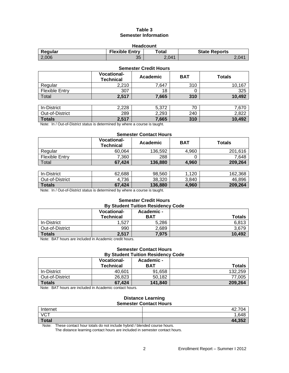## **Table 3 Semester Information**

| <b>Headcount</b>                                                  |    |       |                |  |  |
|-------------------------------------------------------------------|----|-------|----------------|--|--|
| <b>Flexible Entry</b><br>Total<br><b>State Reports</b><br>Regular |    |       |                |  |  |
| 2,006                                                             | 35 | 2.041 | $2.04^{\circ}$ |  |  |

| <b>Semester Credit Hours</b> |                                        |          |            |               |  |
|------------------------------|----------------------------------------|----------|------------|---------------|--|
|                              | <b>Vocational-</b><br><b>Technical</b> | Academic | <b>BAT</b> | <b>Totals</b> |  |
| Regular                      | 2,210                                  | 7,647    | 310        | 10,167        |  |
| <b>Flexible Entry</b>        | 307                                    | 18       |            | 325           |  |
| Total                        | 2,517                                  | 7,665    | 310        | 10,492        |  |
|                              |                                        |          |            |               |  |
| In-District                  | 2,228                                  | 5,372    | 70         | 7,670         |  |
| Out-of-District              | 289                                    | 2,293    | 240        | 2,822         |  |
| <b>Totals</b>                | 2,517                                  | 7,665    | 310        | 10,492        |  |

Note: In / Out-of-District status is determined by where a course is taught.

#### **Semester Contact Hours**

|                | <b>Vocational-</b><br><b>Technical</b> | Academic | <b>BAT</b> | <b>Totals</b> |
|----------------|----------------------------------------|----------|------------|---------------|
| Regular        | 60,064                                 | 136.592  | 4.960      | 201.616       |
| Flexible Entry | 7,360                                  | 288      |            | 7.648         |
| Total          | 67.424                                 | 136,880  | 4,960      | 209,264       |

| In-District     | 62.688 | 98.560  | 12C<br>14 U | 162,368 |
|-----------------|--------|---------|-------------|---------|
| Out-of-District | .736   | 38,320  | 3.840       | 46,896  |
| <b>Totals</b>   | 67.424 | 136.880 | 4.960       | 209.264 |

Note: In / Out-of-District status is determined by where a course is taught.

# **Semester Credit Hours**

| <b>By Student Tuition Residency Code</b> |                                 |                          |               |  |
|------------------------------------------|---------------------------------|--------------------------|---------------|--|
|                                          | <b>Vocational-</b><br>Technical | Academic -<br><b>BAT</b> | <b>Totals</b> |  |
| In-District                              | 1.527                           | 5.286                    | 6,813         |  |
| Out-of-District                          | 990                             | 2,689                    | 3,679         |  |
| <b>Totals</b>                            | 2,517                           | 7,975                    | 10,492        |  |

Note: BAT hours are included in Academic credit hours.

#### **Semester Contact Hours By Student Tuition Residency Code**

|                 | <b>Vocational-</b><br><b>Technical</b> | Academic -<br>BAT | <b>Totals</b> |
|-----------------|----------------------------------------|-------------------|---------------|
| In-District     | 40.601                                 | 91.658            | 132.259       |
| Out-of-District | 26.823                                 | 50,182            | 77.005        |
| <b>Totals</b>   | 67.424                                 | 141.840           | 209,264       |

Note: BAT hours are included in Academic contact hours.

#### **Distance Learning Semester Contact Hours**

|              | __________________ |
|--------------|--------------------|
| Internet     | .704<br>42. .      |
| <b>VCT</b>   | 1,648              |
| <b>Total</b> | 44,352             |

Note: These contact hour totals do not include hybrid / blended course hours.

The distance learning contact hours are included in semester contact hours.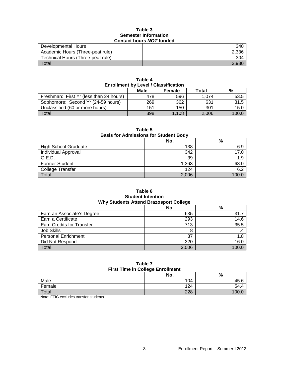#### **Table 3 Semester Information Contact hours** *NOT* **funded**

| Developmental Hours               | 340   |
|-----------------------------------|-------|
| Academic Hours (Three-peat rule)  | 2,336 |
| Technical Hours (Three-peat rule) | 304   |
| $\tau$ <sub>otal</sub>            | 2.980 |

| <b>Enrollment by Level / Classification</b> |      |               |       |       |  |  |
|---------------------------------------------|------|---------------|-------|-------|--|--|
|                                             | Male | <b>Female</b> | Total | %     |  |  |
| Freshman: First Yr (less than 24 hours)     | 478  | 596           | 1.074 | 53.5  |  |  |
| Sophomore: Second Yr (24-59 hours)          | 269  | 362           | 631   | 31.5  |  |  |
| Unclassified (60 or more hours)             | 151  | 150           | 301   | 15.0  |  |  |
| Total                                       | 898  | 1.108         | 2.006 | 100.0 |  |  |

**Table 4**

## **Table 5**

#### **Basis for Admissions for Student Body**

|                             | No.   | %    |
|-----------------------------|-------|------|
| <b>High School Graduate</b> | 138   | 6.9  |
| Individual Approval         | 342   | 17.0 |
| G.E.D.                      | 39    | 1.9  |
| <b>Former Student</b>       | 1,363 | 68.0 |
| <b>College Transfer</b>     | 124   | 6.2  |
| Total                       | 2,006 | 1000 |

### **Table 6 Student Intention Why Students Attend Brazosport College**

|                            | No.   | %     |
|----------------------------|-------|-------|
| Earn an Associate's Degree | 635   | 31.7  |
| Earn a Certificate         | 293   | 14.6  |
| Earn Credits for Transfer  | 713   | 35.5  |
| Job Skills                 | 8     |       |
| <b>Personal Enrichment</b> | 37    | 1.8   |
| Did Not Respond            | 320   | 16.0  |
| Total                      | 2,006 | 100.0 |

#### **Table 7 First Time in College Enrollment**

|        | No. | %     |
|--------|-----|-------|
| Male   | 104 | 45.6  |
| Female | 124 | 54.4  |
| Total  | 228 | 100.0 |

Note: FTIC excludes transfer students.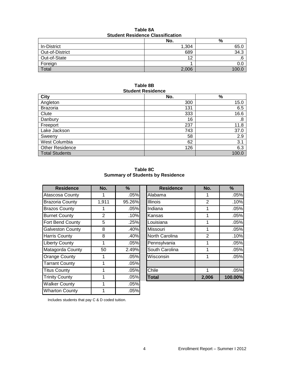| <b>Student Residence Classification</b> |       |      |  |  |  |
|-----------------------------------------|-------|------|--|--|--|
| %<br>No.                                |       |      |  |  |  |
| In-District                             | 1.304 | 65.0 |  |  |  |
| Out-of-District                         | 689   | 34.3 |  |  |  |
| Out-of-State                            | ィク    | .6   |  |  |  |
| Foreign                                 |       | 0.0  |  |  |  |

# **Table 8A**

### **Table 8B Student Residence**

Total  $2,006$  |  $2,006$  |  $100.0$ 

| <b>City</b>            | No. | $\%$  |
|------------------------|-----|-------|
| Angleton               | 300 | 15.0  |
| <b>Brazoria</b>        | 131 | 6.5   |
| Clute                  | 333 | 16.6  |
| Danbury                | 16  | .8    |
| Freeport               | 237 | 11.8  |
| Lake Jackson           | 743 | 37.0  |
| Sweeny                 | 58  | 2.9   |
| West Columbia          | 62  | 3.1   |
| <b>Other Residence</b> | 126 | 6.3   |
| <b>Total Students</b>  |     | 100.0 |

**Table 8C Summary of Students by Residence**

| <b>Residence</b>        | No.   | %      | <b>Residence</b> | No.   | $\%$    |
|-------------------------|-------|--------|------------------|-------|---------|
| Atascosa County         | 1     | .05%   | Alabama          | 1     | .05%    |
| <b>Brazoria County</b>  | 1,911 | 95.26% | <b>Illinois</b>  | 2     | .10%    |
| <b>Brazos County</b>    | 1     | .05%   | Indiana          | 1     | .05%    |
| <b>Burnet County</b>    | 2     | .10%   | Kansas           | 1     | .05%    |
| Fort Bend County        | 5     | .25%   | Louisiana        | 1     | .05%    |
| <b>Galveston County</b> | 8     | .40%   | Missouri         | 1     | .05%    |
| <b>Harris County</b>    | 8     | .40%   | North Carolina   | 2     | .10%    |
| <b>Liberty County</b>   | 1     | .05%   | Pennsylvania     | 1     | .05%    |
| Matagorda County        | 50    | 2.49%  | South Carolina   | 1     | .05%    |
| Orange County           | 1     | .05%   | Wisconsin        | 1     | .05%    |
| <b>Tarrant County</b>   | 1     | .05%   |                  |       |         |
| <b>Titus County</b>     | 1     | .05%   | Chile            | 1     | .05%    |
| <b>Trinity County</b>   | 1     | .05%   | <b>Total</b>     | 2,006 | 100.00% |
| <b>Walker County</b>    | 1     | .05%   |                  |       |         |
| <b>Wharton County</b>   | 1     | .05%   |                  |       |         |

| <b>Residence</b>   | No.            | %      | <b>Residence</b> | No.            | %       |
|--------------------|----------------|--------|------------------|----------------|---------|
| osa County         |                | .05%   | Alabama          |                | .05%    |
| ria County         | 1,911          | 95.26% | <b>Illinois</b>  | $\overline{2}$ | .10%    |
| s County           |                | .05%   | Indiana          |                | .05%    |
| t County           | $\mathfrak{p}$ | .10%   | Kansas           |                | .05%    |
| <b>Bend County</b> | 5              | .25%   | Louisiana        |                | .05%    |
| ston County        | 8              | .40%   | Missouri         |                | .05%    |
| Gounty             | 8              | .40%   | North Carolina   | 2              | .10%    |
| y County           | 1              | .05%   | Pennsylvania     |                | .05%    |
| gorda County       | 50             | 2.49%  | South Carolina   |                | .05%    |
| ge County          |                | .05%   | Wisconsin        |                | .05%    |
| nt County          |                | .05%   |                  |                |         |
| County             |                | .05%   | Chile            |                | .05%    |
| / County           |                | .05%   | <b>Total</b>     | 2,006          | 100.00% |

Includes students that pay C & D coded tuition.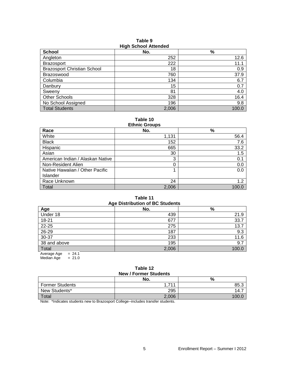| <b>School</b>                      | No.   | %     |
|------------------------------------|-------|-------|
| Angleton                           | 252   | 12.6  |
| <b>Brazosport</b>                  | 222   | 11.1  |
| <b>Brazosport Christian School</b> | 18    | 0.9   |
| <b>Brazoswood</b>                  | 760   | 37.9  |
| Columbia                           | 134   | 6.7   |
| Danbury                            | 15    | 0.7   |
| Sweeny                             | 81    | 4.0   |
| <b>Other Schools</b>               | 328   | 16.4  |
| No School Assigned                 | 196   | 9.8   |
| <b>Total Students</b>              | 2,006 | 100.0 |

**Table 9 High School Attended**

**Table 10**

| <b>Ethnic Groups</b>             |       |       |  |  |  |
|----------------------------------|-------|-------|--|--|--|
| Race                             | No.   | %     |  |  |  |
| White                            | 1,131 | 56.4  |  |  |  |
| <b>Black</b>                     | 152   | 7.6   |  |  |  |
| Hispanic                         | 665   | 33.2  |  |  |  |
| Asian                            | 30    | 1.5   |  |  |  |
| American Indian / Alaskan Native | 3     | 0.1   |  |  |  |
| Non-Resident Alien               | 0     | 0.0   |  |  |  |
| Native Hawaiian / Other Pacific  |       | 0.0   |  |  |  |
| Islander                         |       |       |  |  |  |
| Race Unknown                     | 24    | 1.2   |  |  |  |
| Total                            | 2,006 | 100.0 |  |  |  |

## **Table 11 Age Distribution of BC Students**

| Age                   | No.   | $\%$  |
|-----------------------|-------|-------|
| Under 18              | 439   | 21.9  |
| $18 - 21$             | 677   | 33.7  |
| 22-25                 | 275   | 13.7  |
| 26-29                 | 187   | 9.3   |
| 30-37                 | 233   | 11.6  |
| 38 and above          | 195   | 9.7   |
| Total                 | 2,006 | 100.0 |
| $-211$<br>Avorago Ago |       |       |

Average  $Age = 24.1$ Median Age  $= 21.0$ 

#### **Table 12 New / Former Students**

| $195W / 1$ of the budget $3$ |                       |      |  |  |  |
|------------------------------|-----------------------|------|--|--|--|
|                              | No.                   | %    |  |  |  |
| <b>Former Students</b>       | 711<br>$\overline{A}$ | 85.3 |  |  |  |
| New Students*                | 295                   | 14.1 |  |  |  |
| <b>Total</b>                 | 2,006                 |      |  |  |  |

Note: \*Indicates students new to Brazosport College--includes transfer students.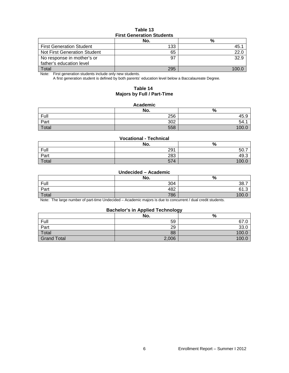#### **Table 13 First Generation Students**

|                                     | No. | %    |  |  |  |
|-------------------------------------|-----|------|--|--|--|
| <b>First Generation Student</b>     | 133 | 45.  |  |  |  |
| <b>Not First Generation Student</b> | 65  | 22.0 |  |  |  |
| No response in mother's or          | 97  | 32.9 |  |  |  |
| father's education level            |     |      |  |  |  |
| Total                               | 295 |      |  |  |  |

Note: First generation students include only new students.

A first generation student is defined by both parents' education level below a Baccalaureate Degree.

#### **Table 14 Majors by Full / Part-Time**

#### **Academic**

|       | No. | $\Omega$<br>70  |
|-------|-----|-----------------|
| Full  | 256 | 45.9            |
| Part  | 302 | 54.7            |
| Total | 558 | 10 <sup>c</sup> |

#### **Vocational - Technical**

|       | No. | %     |
|-------|-----|-------|
| Full  | 291 | 50.7  |
| Part  | 283 | 49.3  |
| Total | 574 | 100.0 |

#### **Undecided – Academic**

|       | No. | %     |
|-------|-----|-------|
| Full  | 304 | 38.7  |
| Part  | 482 | ט.וט  |
| Total | 786 | 100.0 |

Note: The large number of part-time Undecided – Academic majors is due to concurrent / dual credit students.

#### **Bachelor's in Applied Technology**

|                    | No.   | --<br>$\Omega$<br>70 |
|--------------------|-------|----------------------|
| Full               | 59    | 67.0                 |
| Part               | 29    | 33.0                 |
| Total              | 88    | 100.0                |
| <b>Grand Total</b> | 2,006 | 100.0                |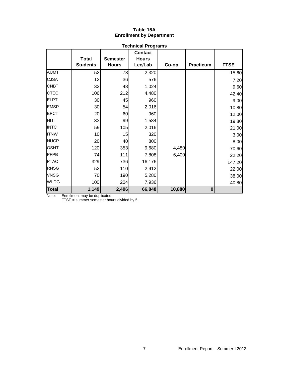#### **Table 15A Enrollment by Department**

|              |                                 |                                                                                       | <b>Technical Programs</b> |                  |             |        |
|--------------|---------------------------------|---------------------------------------------------------------------------------------|---------------------------|------------------|-------------|--------|
|              | <b>Total</b><br><b>Students</b> | <b>Contact</b><br><b>Hours</b><br><b>Semester</b><br>Lec/Lab<br><b>Hours</b><br>Co-op |                           | <b>Practicum</b> | <b>FTSE</b> |        |
| <b>AUMT</b>  | 52                              | 78                                                                                    | 2,320                     |                  |             | 15.60  |
| <b>CJSA</b>  | 12                              | 36                                                                                    | 576                       |                  |             | 7.20   |
| <b>CNBT</b>  | 32                              | 48                                                                                    | 1,024                     |                  |             | 9.60   |
| <b>CTEC</b>  | 106                             | 212                                                                                   | 4,480                     |                  |             | 42.40  |
| <b>ELPT</b>  | 30                              | 45                                                                                    | 960                       |                  |             | 9.00   |
| <b>EMSP</b>  | 30 <sup>°</sup>                 | 54                                                                                    | 2,016                     |                  |             | 10.80  |
| <b>EPCT</b>  | 20                              | 60                                                                                    | 960                       |                  |             | 12.00  |
| <b>HITT</b>  | 33                              | 99                                                                                    | 1,584                     |                  |             | 19.80  |
| <b>INTC</b>  | 59                              | 105                                                                                   | 2,016                     |                  |             | 21.00  |
| <b>ITNW</b>  | 10                              | 15                                                                                    | 320                       |                  |             | 3.00   |
| <b>NUCP</b>  | 20                              | 40                                                                                    | 800                       |                  |             | 8.00   |
| <b>OSHT</b>  | 120                             | 353                                                                                   | 9,680                     | 4,480            |             | 70.60  |
| <b>PFPB</b>  | 74                              | 111                                                                                   | 7,808                     | 6,400            |             | 22.20  |
| <b>PTAC</b>  | 329                             | 736                                                                                   | 16,176                    |                  |             | 147.20 |
| <b>RNSG</b>  | 52                              | 110                                                                                   | 2,912                     |                  |             | 22.00  |
| <b>VNSG</b>  | 70                              | 190                                                                                   | 5,280                     |                  |             | 38.00  |
| <b>WLDG</b>  | 100                             | 204                                                                                   | 7,936                     |                  |             | 40.80  |
| <b>Total</b> | 1,149                           | 2,496                                                                                 | 66,848                    | 10,880           | $\bf{0}$    |        |

Note: Enrollment may be duplicated.

FTSE = summer semester hours divided by 5.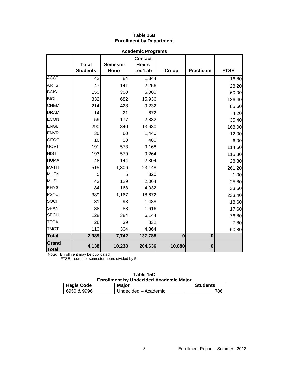# **Table 15B Enrollment by Department**

|                       | <b>Academic Programs</b>        |                                 |                                                    |          |                  |             |  |
|-----------------------|---------------------------------|---------------------------------|----------------------------------------------------|----------|------------------|-------------|--|
|                       | <b>Total</b><br><b>Students</b> | <b>Semester</b><br><b>Hours</b> | <b>Contact</b><br><b>Hours</b><br>Lec/Lab<br>Co-op |          | <b>Practicum</b> | <b>FTSE</b> |  |
| <b>ACCT</b>           | 42                              | 84                              | 1,344                                              |          |                  | 16.80       |  |
| <b>ARTS</b>           | 47                              | 141                             | 2,256                                              |          |                  | 28.20       |  |
| <b>BCIS</b>           | 150                             | 300                             | 6,000                                              |          |                  | 60.00       |  |
| <b>BIOL</b>           | 332                             | 682                             | 15,936                                             |          |                  | 136.40      |  |
| <b>CHEM</b>           | 214                             | 428                             | 9,232                                              |          |                  | 85.60       |  |
| <b>DRAM</b>           | 14                              | 21                              | 672                                                |          |                  | 4.20        |  |
| <b>ECON</b>           | 59                              | 177                             | 2,832                                              |          |                  | 35.40       |  |
| <b>ENGL</b>           | 290                             | 840                             | 13,680                                             |          |                  | 168.00      |  |
| <b>ENVR</b>           | 30                              | 60                              | 1,440                                              |          |                  | 12.00       |  |
| <b>GEOG</b>           | 10                              | 30                              | 480                                                |          |                  | 6.00        |  |
| <b>GOVT</b>           | 191                             | 573                             | 9,168                                              |          |                  | 114.60      |  |
| <b>HIST</b>           | 193                             | 579                             | 9,264                                              |          |                  | 115.80      |  |
| <b>HUMA</b>           | 48                              | 144                             | 2,304                                              |          |                  | 28.80       |  |
| <b>MATH</b>           | 515                             | 1,306                           | 23,148                                             |          |                  | 261.20      |  |
| <b>MUEN</b>           | 5                               | 5                               | 320                                                |          |                  | 1.00        |  |
| <b>MUSI</b>           | 43                              | 129                             | 2,064                                              |          |                  | 25.80       |  |
| <b>PHYS</b>           | 84                              | 168                             | 4,032                                              |          |                  | 33.60       |  |
| <b>PSYC</b>           | 389                             | 1,167                           | 18,672                                             |          |                  | 233.40      |  |
| SOCI                  | 31                              | 93                              | 1,488                                              |          |                  | 18.60       |  |
| <b>SPAN</b>           | 38                              | 88                              | 1,616                                              |          |                  | 17.60       |  |
| <b>SPCH</b>           | 128                             | 384                             | 6,144                                              |          |                  | 76.80       |  |
| <b>TECA</b>           | 26                              | 39                              | 832                                                |          |                  | 7.80        |  |
| <b>TMGT</b>           | 110                             | 304                             | 4,864                                              |          |                  | 60.80       |  |
| <b>Total</b>          | 2,989                           | 7,742                           | 137,788                                            | $\bf{0}$ | $\bf{0}$         |             |  |
| Grand<br><b>Total</b> | 4,138                           | 10,238                          | 204,636                                            | 10,880   | $\bf{0}$         |             |  |

Note: Enrollment may be duplicated. FTSE = summer semester hours divided by 5.

|          |                                               | Table 15C |              |
|----------|-----------------------------------------------|-----------|--------------|
|          | <b>Enrollment by Undecided Academic Major</b> |           |              |
| iic Coda |                                               | Maior     | <b>Stude</b> |

| <b>Hegis Code</b> | <b>Major</b>         | <b>Students</b> |
|-------------------|----------------------|-----------------|
| 6950 & 9996       | Undecided – Academic | 786             |